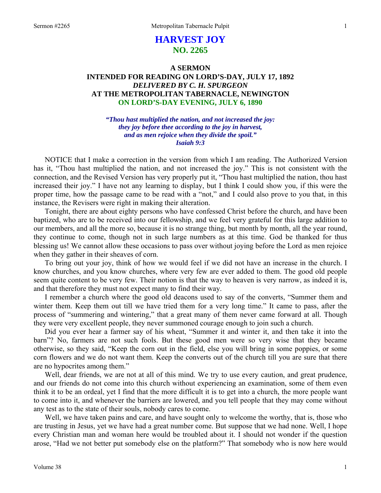# **HARVEST JOY NO. 2265**

# **A SERMON INTENDED FOR READING ON LORD'S-DAY, JULY 17, 1892**  *DELIVERED BY C. H. SPURGEON*  **AT THE METROPOLITAN TABERNACLE, NEWINGTON ON LORD'S-DAY EVENING, JULY 6, 1890**

*"Thou hast multiplied the nation, and not increased the joy: they joy before thee according to the joy in harvest, and as men rejoice when they divide the spoil." Isaiah 9:3* 

NOTICE that I make a correction in the version from which I am reading. The Authorized Version has it, "Thou hast multiplied the nation, and not increased the joy." This is not consistent with the connection, and the Revised Version has very properly put it, "Thou hast multiplied the nation, thou hast increased their joy." I have not any learning to display, but I think I could show you, if this were the proper time, how the passage came to be read with a "not," and I could also prove to you that, in this instance, the Revisers were right in making their alteration.

Tonight, there are about eighty persons who have confessed Christ before the church, and have been baptized, who are to be received into our fellowship, and we feel very grateful for this large addition to our members, and all the more so, because it is no strange thing, but month by month, all the year round, they continue to come, though not in such large numbers as at this time. God be thanked for thus blessing us! We cannot allow these occasions to pass over without joying before the Lord as men rejoice when they gather in their sheaves of corn.

To bring out your joy, think of how we would feel if we did not have an increase in the church. I know churches, and you know churches, where very few are ever added to them. The good old people seem quite content to be very few. Their notion is that the way to heaven is very narrow, as indeed it is, and that therefore they must not expect many to find their way.

I remember a church where the good old deacons used to say of the converts, "Summer them and winter them. Keep them out till we have tried them for a very long time." It came to pass, after the process of "summering and wintering," that a great many of them never came forward at all. Though they were very excellent people, they never summoned courage enough to join such a church.

Did you ever hear a farmer say of his wheat, "Summer it and winter it, and then take it into the barn"? No, farmers are not such fools. But these good men were so very wise that they became otherwise, so they said, "Keep the corn out in the field, else you will bring in some poppies, or some corn flowers and we do not want them. Keep the converts out of the church till you are sure that there are no hypocrites among them."

Well, dear friends, we are not at all of this mind. We try to use every caution, and great prudence, and our friends do not come into this church without experiencing an examination, some of them even think it to be an ordeal, yet I find that the more difficult it is to get into a church, the more people want to come into it, and whenever the barriers are lowered, and you tell people that they may come without any test as to the state of their souls, nobody cares to come.

Well, we have taken pains and care, and have sought only to welcome the worthy, that is, those who are trusting in Jesus, yet we have had a great number come. But suppose that we had none. Well, I hope every Christian man and woman here would be troubled about it. I should not wonder if the question arose, "Had we not better put somebody else on the platform?" That somebody who is now here would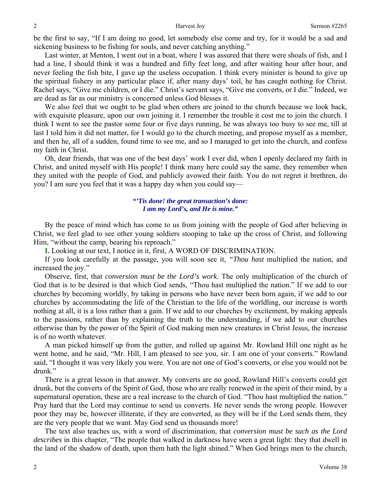be the first to say, "If I am doing no good, let somebody else come and try, for it would be a sad and sickening business to be fishing for souls, and never catching anything."

Last winter, at Menton, I went out in a boat, where I was assured that there were shoals of fish, and I had a line, I should think it was a hundred and fifty feet long, and after waiting hour after hour, and never feeling the fish bite, I gave up the useless occupation. I think every minister is bound to give up the spiritual fishery in any particular place if, after many days' toil, he has caught nothing for Christ. Rachel says, "Give me children, or I die." Christ's servant says, "Give me converts, or I die." Indeed, we are dead as far as our ministry is concerned unless God blesses it.

We also feel that we ought to be glad when others are joined to the church because we look back, with exquisite pleasure, upon our own joining it. I remember the trouble it cost me to join the church. I think I went to see the pastor some four or five days running, he was always too busy to see me, till at last I told him it did not matter, for I would go to the church meeting, and propose myself as a member, and then he, all of a sudden, found time to see me, and so I managed to get into the church, and confess my faith in Christ.

Oh, dear friends, that was one of the best days' work I ever did, when I openly declared my faith in Christ, and united myself with His people! I think many here could say the same, they remember when they united with the people of God, and publicly avowed their faith. You do not regret it brethren, do you? I am sure you feel that it was a happy day when you could say—

### *"'Tis done! the great transaction's done: I am my Lord's, and He is mine."*

By the peace of mind which has come to us from joining with the people of God after believing in Christ, we feel glad to see other young soldiers stooping to take up the cross of Christ, and following Him, "without the camp, bearing his reproach."

**I.** Looking at our text, I notice in it, first, A WORD OF DISCRIMINATION.

If you look carefully at the passage, you will soon see it, *"Thou hast* multiplied the nation, and increased the joy."

Observe, first, that *conversion must be the Lord's work*. The only multiplication of the church of God that is to be desired is that which God sends, "Thou hast multiplied the nation." If we add to our churches by becoming worldly, by taking in persons who have never been born again, if we add to our churches by accommodating the life of the Christian to the life of the worldling, our increase is worth nothing at all, it is a loss rather than a gain. If we add to our churches by excitement, by making appeals to the passions, rather than by explaining the truth to the understanding, if we add to our churches otherwise than by the power of the Spirit of God making men new creatures in Christ Jesus, the increase is of no worth whatever.

A man picked himself up from the gutter, and rolled up against Mr. Rowland Hill one night as he went home, and he said, "Mr. Hill, I am pleased to see you, sir. I am one of your converts." Rowland said, "I thought it was very likely you were. You are not one of God's converts, or else you would not be drunk."

There is a great lesson in that answer. My converts are no good, Rowland Hill's converts could get drunk, but the converts of the Spirit of God, those who are really renewed in the spirit of their mind, by a supernatural operation, these are a real increase to the church of God. "Thou hast multiplied the nation." Pray hard that the Lord may continue to send us converts. He never sends the wrong people. However poor they may be, however illiterate, if they are converted, as they will be if the Lord sends them, they are the very people that we want. May God send us thousands more!

The text also teaches us, with a word of discrimination, that *conversion must be such as the Lord describes* in this chapter, "The people that walked in darkness have seen a great light: they that dwell in the land of the shadow of death, upon them hath the light shined." When God brings men to the church,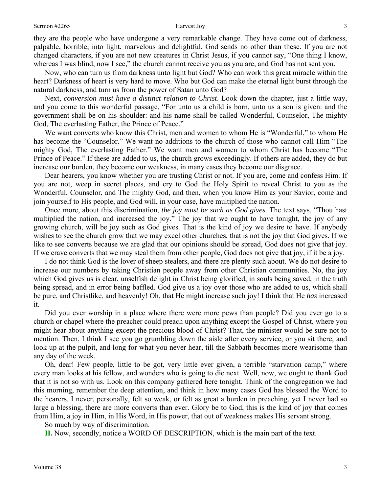they are the people who have undergone a very remarkable change. They have come out of darkness, palpable, horrible, into light, marvelous and delightful. God sends no other than these. If you are not changed characters, if you are not new creatures in Christ Jesus, if you cannot say, "One thing I know, whereas I was blind, now I see," the church cannot receive you as you are, and God has not sent you.

Now, who can turn us from darkness unto light but God? Who can work this great miracle within the heart? Darkness of heart is very hard to move. Who but God can make the eternal light burst through the natural darkness, and turn us from the power of Satan unto God?

Next, *conversion must have a distinct relation to Christ*. Look down the chapter, just a little way, and you come to this wonderful passage, "For unto us a child is born, unto us a son is given: and the government shall be on his shoulder: and his name shall be called Wonderful, Counselor, The mighty God, The everlasting Father, the Prince of Peace."

We want converts who know this Christ, men and women to whom He is "Wonderful," to whom He has become the "Counselor." We want no additions to the church of those who cannot call Him "The mighty God, The everlasting Father." We want men and women to whom Christ has become "The Prince of Peace." If these are added to us, the church grows exceedingly. If others are added, they do but increase our burden, they become our weakness, in many cases they become our disgrace.

Dear hearers, you know whether you are trusting Christ or not. If you are, come and confess Him. If you are not, weep in secret places, and cry to God the Holy Spirit to reveal Christ to you as the Wonderful, Counselor, and The mighty God, and then, when you know Him as your Savior, come and join yourself to His people, and God will, in your case, have multiplied the nation.

Once more, about this discrimination, *the joy must be such as God gives*. The text says, "Thou hast multiplied the nation, and increased the joy." The joy that we ought to have tonight, the joy of any growing church, will be joy such as God gives. That is the kind of joy we desire to have. If anybody wishes to see the church grow that we may excel other churches, that is not the joy that God gives. If we like to see converts because we are glad that our opinions should be spread, God does not give that joy. If we crave converts that we may steal them from other people, God does not give that joy, if it be a joy.

I do not think God is the lover of sheep stealers, and there are plenty such about. We do not desire to increase our numbers by taking Christian people away from other Christian communities. No, the joy which God gives us is clear, unselfish delight in Christ being glorified, in souls being saved, in the truth being spread, and in error being baffled. God give us a joy over those who are added to us, which shall be pure, and Christlike, and heavenly! Oh, that He might increase such joy! I think that He *has* increased it.

Did you ever worship in a place where there were more pews than people? Did you ever go to a church or chapel where the preacher could preach upon anything except the Gospel of Christ, where you might hear about anything except the precious blood of Christ? That, the minister would be sure not to mention. Then, I think I see you go grumbling down the aisle after every service, or you sit there, and look up at the pulpit, and long for what you never hear, till the Sabbath becomes more wearisome than any day of the week.

Oh, dear! Few people, little to be got, very little ever given, a terrible "starvation camp," where every man looks at his fellow, and wonders who is going to die next. Well, now, we ought to thank God that it is not so with us. Look on this company gathered here tonight. Think of the congregation we had this morning, remember the deep attention, and think in how many cases God has blessed the Word to the hearers. I never, personally, felt so weak, or felt as great a burden in preaching, yet I never had so large a blessing, there are more converts than ever. Glory be to God, this is the kind of joy that comes from Him, a joy in Him, in His Word, in His power, that out of weakness makes His servant strong.

So much by way of discrimination.

**II.** Now, secondly, notice a WORD OF DESCRIPTION, which is the main part of the text.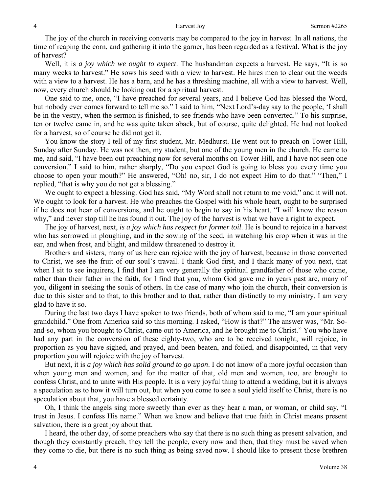The joy of the church in receiving converts may be compared to the joy in harvest. In all nations, the time of reaping the corn, and gathering it into the garner, has been regarded as a festival. What is the joy of harvest?

Well, it is *a joy which we ought to expect*. The husbandman expects a harvest. He says, "It is so many weeks to harvest." He sows his seed with a view to harvest. He hires men to clear out the weeds with a view to a harvest. He has a barn, and he has a threshing machine, all with a view to harvest. Well, now, every church should be looking out for a spiritual harvest.

One said to me, once, "I have preached for several years, and I believe God has blessed the Word, but nobody ever comes forward to tell me so." I said to him, "Next Lord's-day say to the people, 'I shall be in the vestry, when the sermon is finished, to see friends who have been converted." To his surprise, ten or twelve came in, and he was quite taken aback, but of course, quite delighted. He had not looked for a harvest, so of course he did not get it.

You know the story I tell of my first student, Mr. Medhurst. He went out to preach on Tower Hill, Sunday after Sunday. He was not then, my student, but one of the young men in the church. He came to me, and said, "I have been out preaching now for several months on Tower Hill, and I have not seen one conversion." I said to him, rather sharply, "Do you expect God is going to bless you every time you choose to open your mouth?" He answered, "Oh! no, sir, I do not expect Him to do that." "Then," I replied, "that is why you do not get a blessing."

We ought to expect a blessing. God has said, "My Word shall not return to me void," and it will not. We ought to look for a harvest. He who preaches the Gospel with his whole heart, ought to be surprised if he does not hear of conversions, and he ought to begin to say in his heart, "I will know the reason why," and never stop till he has found it out. The joy of the harvest is what we have a right to expect.

The joy of harvest, next, *is a joy which has respect for former toil*. He is bound to rejoice in a harvest who has sorrowed in ploughing, and in the sowing of the seed, in watching his crop when it was in the ear, and when frost, and blight, and mildew threatened to destroy it.

Brothers and sisters, many of us here can rejoice with the joy of harvest, because in those converted to Christ, we see the fruit of our soul's travail. I thank God first, and I thank many of you next, that when I sit to see inquirers, I find that I am very generally the spiritual grandfather of those who come, rather than their father in the faith, for I find that you, whom God gave me in years past are, many of you, diligent in seeking the souls of others. In the case of many who join the church, their conversion is due to this sister and to that, to this brother and to that, rather than distinctly to my ministry. I am very glad to have it so.

During the last two days I have spoken to two friends, both of whom said to me, "I am your spiritual grandchild." One from America said so this morning. I asked, "How is that?" The answer was, "Mr. Soand-so, whom you brought to Christ, came out to America, and he brought me to Christ." You who have had any part in the conversion of these eighty-two, who are to be received tonight, will rejoice, in proportion as you have sighed, and prayed, and been beaten, and foiled, and disappointed, in that very proportion you will rejoice with the joy of harvest.

But next, it is *a joy which has solid ground to go upon*. I do not know of a more joyful occasion than when young men and women, and for the matter of that, old men and women, too, are brought to confess Christ, and to unite with His people. It is a very joyful thing to attend a wedding, but it is always a speculation as to how it will turn out, but when you come to see a soul yield itself to Christ, there is no speculation about that, you have a blessed certainty.

Oh, I think the angels sing more sweetly than ever as they hear a man, or woman, or child say, "I trust in Jesus. I confess His name." When we know and believe that true faith in Christ means present salvation, there is a great joy about that.

I heard, the other day, of some preachers who say that there is no such thing as present salvation, and though they constantly preach, they tell the people, every now and then, that they must be saved when they come to die, but there is no such thing as being saved now. I should like to present those brethren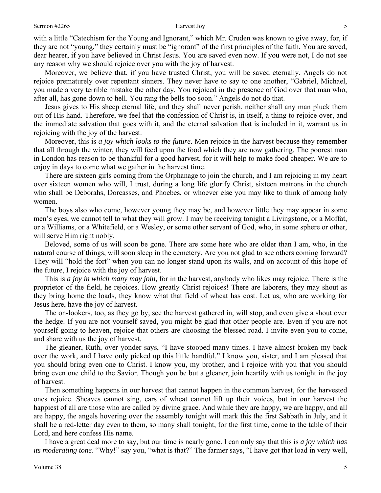### Sermon #2265 5

with a little "Catechism for the Young and Ignorant," which Mr. Cruden was known to give away, for, if they are not "young," they certainly must be "ignorant" of the first principles of the faith. You are saved, dear hearer, if you have believed in Christ Jesus. You are saved even now. If you were not, I do not see any reason why we should rejoice over you with the joy of harvest.

Moreover, we believe that, if you have trusted Christ, you will be saved eternally. Angels do not rejoice prematurely over repentant sinners. They never have to say to one another, "Gabriel, Michael, you made a very terrible mistake the other day. You rejoiced in the presence of God over that man who, after all, has gone down to hell. You rang the bells too soon." Angels do not do that.

Jesus gives to His sheep eternal life, and they shall never perish, neither shall any man pluck them out of His hand. Therefore, we feel that the confession of Christ is, in itself, a thing to rejoice over, and the immediate salvation that goes with it, and the eternal salvation that is included in it, warrant us in rejoicing with the joy of the harvest.

Moreover, this is *a joy which looks to the future*. Men rejoice in the harvest because they remember that all through the winter, they will feed upon the food which they are now gathering. The poorest man in London has reason to be thankful for a good harvest, for it will help to make food cheaper. We are to enjoy in days to come what we gather in the harvest time.

There are sixteen girls coming from the Orphanage to join the church, and I am rejoicing in my heart over sixteen women who will, I trust, during a long life glorify Christ, sixteen matrons in the church who shall be Deborahs, Dorcasses, and Phoebes, or whoever else you may like to think of among holy women.

The boys also who come, however young they may be, and however little they may appear in some men's eyes, we cannot tell to what they will grow. I may be receiving tonight a Livingstone, or a Moffat, or a Williams, or a Whitefield, or a Wesley, or some other servant of God, who, in some sphere or other, will serve Him right nobly.

Beloved, some of us will soon be gone. There are some here who are older than I am, who, in the natural course of things, will soon sleep in the cemetery. Are you not glad to see others coming forward? They will "hold the fort" when you can no longer stand upon its walls, and on account of this hope of the future, I rejoice with the joy of harvest.

This is *a joy in which many may join,* for in the harvest, anybody who likes may rejoice. There is the proprietor of the field, he rejoices. How greatly Christ rejoices! There are laborers, they may shout as they bring home the loads, they know what that field of wheat has cost. Let us, who are working for Jesus here, have the joy of harvest.

The on-lookers, too, as they go by, see the harvest gathered in, will stop, and even give a shout over the hedge. If you are not yourself saved, you might be glad that other people are. Even if you are not yourself going to heaven, rejoice that others are choosing the blessed road. I invite even you to come, and share with us the joy of harvest.

The gleaner, Ruth, over yonder says, "I have stooped many times. I have almost broken my back over the work, and I have only picked up this little handful." I know you, sister, and I am pleased that you should bring even one to Christ. I know you, my brother, and I rejoice with you that you should bring even one child to the Savior. Though you be but a gleaner, join heartily with us tonight in the joy of harvest.

Then something happens in our harvest that cannot happen in the common harvest, for the harvested ones rejoice. Sheaves cannot sing, ears of wheat cannot lift up their voices, but in our harvest the happiest of all are those who are called by divine grace. And while they are happy, we are happy, and all are happy, the angels hovering over the assembly tonight will mark this the first Sabbath in July, and it shall be a red-letter day even to them, so many shall tonight, for the first time, come to the table of their Lord, and here confess His name.

I have a great deal more to say, but our time is nearly gone. I can only say that this is *a joy which has its moderating tone*. "Why!" say you, "what is that?" The farmer says, "I have got that load in very well,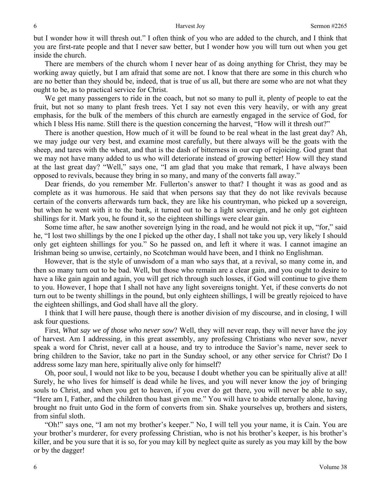but I wonder how it will thresh out." I often think of you who are added to the church, and I think that you are first-rate people and that I never saw better, but I wonder how you will turn out when you get inside the church.

There are members of the church whom I never hear of as doing anything for Christ, they may be working away quietly, but I am afraid that some are not. I know that there are some in this church who are no better than they should be, indeed, that is true of us all, but there are some who are not what they ought to be, as to practical service for Christ.

We get many passengers to ride in the coach, but not so many to pull it, plenty of people to eat the fruit, but not so many to plant fresh trees. Yet I say not even this very heavily, or with any great emphasis, for the bulk of the members of this church are earnestly engaged in the service of God, for which I bless His name. Still there is the question concerning the harvest, "How will it thresh out?"

There is another question, How much of it will be found to be real wheat in the last great day? Ah, we may judge our very best, and examine most carefully, but there always will be the goats with the sheep, and tares with the wheat, and that is the dash of bitterness in our cup of rejoicing. God grant that we may not have many added to us who will deteriorate instead of growing better! How will they stand at the last great day? "Well," says one, "I am glad that you make that remark, I have always been opposed to revivals, because they bring in so many, and many of the converts fall away."

Dear friends, do you remember Mr. Fullerton's answer to that? I thought it was as good and as complete as it was humorous. He said that when persons say that they do not like revivals because certain of the converts afterwards turn back, they are like his countryman, who picked up a sovereign, but when he went with it to the bank, it turned out to be a light sovereign, and he only got eighteen shillings for it. Mark you, he found it, so the eighteen shillings were clear gain.

Some time after, he saw another sovereign lying in the road, and he would not pick it up, "for," said he, "I lost two shillings by the one I picked up the other day, I shall not take you up, very likely I should only get eighteen shillings for you." So he passed on, and left it where it was. I cannot imagine an Irishman being so unwise, certainly, no Scotchman would have been, and I think no Englishman.

However, that is the style of unwisdom of a man who says that, at a revival, so many come in, and then so many turn out to be bad. Well, but those who remain are a clear gain, and you ought to desire to have a like gain again and again, you will get rich through such losses, if God will continue to give them to you. However, I hope that I shall not have any light sovereigns tonight. Yet, if these converts do not turn out to be twenty shillings in the pound, but only eighteen shillings, I will be greatly rejoiced to have the eighteen shillings, and God shall have all the glory.

I think that I will here pause, though there is another division of my discourse, and in closing, I will ask four questions.

First, *What say we of those who never sow*? Well, they will never reap, they will never have the joy of harvest. Am I addressing, in this great assembly, any professing Christians who never sow, never speak a word for Christ, never call at a house, and try to introduce the Savior's name, never seek to bring children to the Savior, take no part in the Sunday school, or any other service for Christ? Do I address some lazy man here, spiritually alive only for himself?

Oh, poor soul, I would not like to be you, because I doubt whether you can be spiritually alive at all! Surely, he who lives for himself is dead while he lives, and you will never know the joy of bringing souls to Christ, and when you get to heaven, if you ever do get there, you will never be able to say, "Here am I, Father, and the children thou hast given me." You will have to abide eternally alone, having brought no fruit unto God in the form of converts from sin. Shake yourselves up, brothers and sisters, from sinful sloth.

"Oh!" says one, "I am not my brother's keeper." No, I will tell you your name, it is Cain. You are your brother's murderer, for every professing Christian, who is not his brother's keeper, is his brother's killer, and be you sure that it is so, for you may kill by neglect quite as surely as you may kill by the bow or by the dagger!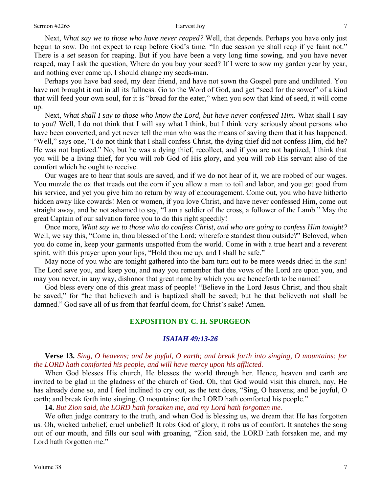Next, *What say we to those who have never reaped?* Well, that depends. Perhaps you have only just begun to sow. Do not expect to reap before God's time. "In due season ye shall reap if ye faint not." There is a set season for reaping. But if you have been a very long time sowing, and you have never reaped, may I ask the question, Where do you buy your seed? If I were to sow my garden year by year, and nothing ever came up, I should change my seeds-man.

Perhaps you have bad seed, my dear friend, and have not sown the Gospel pure and undiluted. You have not brought it out in all its fullness. Go to the Word of God, and get "seed for the sower" of a kind that will feed your own soul, for it is "bread for the eater," when you sow that kind of seed, it will come up.

Next, *What shall I say to those who know the Lord, but have never confessed Him.* What shall I say to you? Well, I do not think that I will say what I think, but I think very seriously about persons who have been converted, and yet never tell the man who was the means of saving them that it has happened. "Well," says one, "I do not think that I shall confess Christ, the dying thief did not confess Him, did he? He was not baptized." No, but he was a dying thief, recollect, and if you are not baptized, I think that you will be a living thief, for you will rob God of His glory, and you will rob His servant also of the comfort which he ought to receive.

Our wages are to hear that souls are saved*,* and if we do not hear of it, we are robbed of our wages. You muzzle the ox that treads out the corn if you allow a man to toil and labor, and you get good from his service, and yet you give him no return by way of encouragement. Come out, you who have hitherto hidden away like cowards! Men or women, if you love Christ, and have never confessed Him, come out straight away, and be not ashamed to say, "I am a soldier of the cross, a follower of the Lamb." May the great Captain of our salvation force you to do this right speedily!

Once more, *What say we to those who do confess Christ, and who are going to confess Him tonight?* Well, we say this, "Come in, thou blessed of the Lord; wherefore standest thou outside?" Beloved, when you do come in, keep your garments unspotted from the world. Come in with a true heart and a reverent spirit, with this prayer upon your lips, "Hold thou me up, and I shall be safe."

May none of you who are tonight gathered into the barn turn out to be mere weeds dried in the sun! The Lord save you, and keep you, and may you remember that the vows of the Lord are upon you, and may you never, in any way, dishonor that great name by which you are henceforth to be named!

God bless every one of this great mass of people! "Believe in the Lord Jesus Christ, and thou shalt be saved," for "he that believeth and is baptized shall be saved; but he that believeth not shall be damned." God save all of us from that fearful doom, for Christ's sake! Amen.

### **EXPOSITION BY C. H. SPURGEON**

### *ISAIAH 49:13-26*

## **Verse 13.** *Sing, O heavens; and be joyful, O earth; and break forth into singing, O mountains: for the LORD hath comforted his people, and will have mercy upon his afflicted*.

When God blesses His church, He blesses the world through her. Hence, heaven and earth are invited to be glad in the gladness of the church of God. Oh, that God would visit this church, nay, He has already done so, and I feel inclined to cry out, as the text does, "Sing, O heavens; and be joyful, O earth; and break forth into singing, O mountains: for the LORD hath comforted his people."

**14.** *But Zion said, the LORD hath forsaken me, and my Lord hath forgotten me.*

We often judge contrary to the truth, and when God is blessing us, we dream that He has forgotten us. Oh, wicked unbelief, cruel unbelief! It robs God of glory, it robs us of comfort. It snatches the song out of our mouth, and fills our soul with groaning, "Zion said, the LORD hath forsaken me, and my Lord hath forgotten me."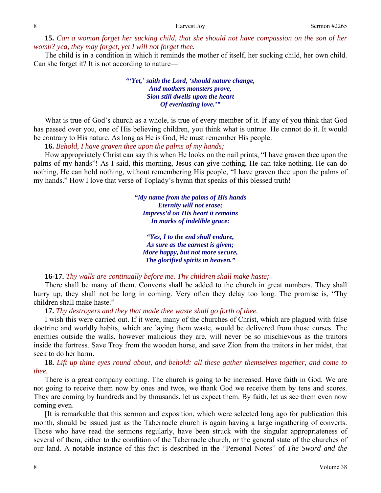**15.** *Can a woman forget her sucking child, that she should not have compassion on the son of her womb? yea, they may forget, yet I will not forget thee.*

The child is in a condition in which it reminds the mother of itself, her sucking child, her own child. Can she forget it? It is not according to nature—

> *"'Yet,' saith the Lord, 'should nature change, And mothers monsters prove, Sion still dwells upon the heart Of everlasting love.'"*

What is true of God's church as a whole, is true of every member of it. If any of you think that God has passed over you, one of His believing children, you think what is untrue. He cannot do it. It would be contrary to His nature. As long as He is God, He must remember His people.

**16.** *Behold, I have graven thee upon the palms of my hands;* 

How appropriately Christ can say this when He looks on the nail prints, "I have graven thee upon the palms of my hands"! As I said, this morning, Jesus can give nothing, He can take nothing, He can do nothing, He can hold nothing, without remembering His people, "I have graven thee upon the palms of my hands." How I love that verse of Toplady's hymn that speaks of this blessed truth!—

> *"My name from the palms of His hands Eternity will not erase; Impress'd on His heart it remains In marks of indelible grace:*

*"Yes, I to the end shall endure, As sure as the earnest is given; More happy, but not more secure, The glorified spirits in heaven."* 

**16-17.** *Thy walls are continually before me. Thy children shall make haste;*

There shall be many of them. Converts shall be added to the church in great numbers. They shall hurry up, they shall not be long in coming. Very often they delay too long. The promise is, "Thy children shall make haste."

**17.** *Thy destroyers and they that made thee waste shall go forth of thee.* 

I wish this were carried out. If it were, many of the churches of Christ, which are plagued with false doctrine and worldly habits, which are laying them waste, would be delivered from those curses. The enemies outside the walls, however malicious they are, will never be so mischievous as the traitors inside the fortress. Save Troy from the wooden horse, and save Zion from the traitors in her midst, that seek to do her harm.

**18.** *Lift up thine eyes round about, and behold: all these gather themselves together, and come to thee.*

There is a great company coming. The church is going to be increased. Have faith in God. We are not going to receive them now by ones and twos, we thank God we receive them by tens and scores. They are coming by hundreds and by thousands, let us expect them. By faith, let us see them even now coming even.

[It is remarkable that this sermon and exposition, which were selected long ago for publication this month, should be issued just as the Tabernacle church is again having a large ingathering of converts. Those who have read the sermons regularly, have been struck with the singular appropriateness of several of them, either to the condition of the Tabernacle church, or the general state of the churches of our land. A notable instance of this fact is described in the "Personal Notes" of *The Sword and the*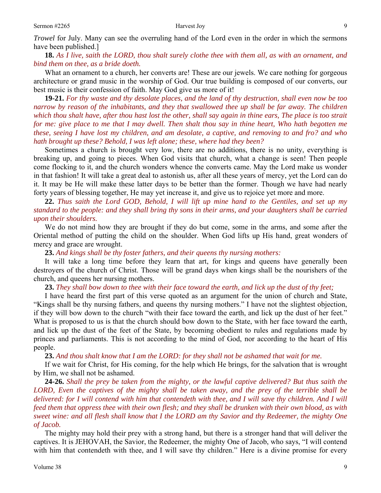*Trowel* for July. Many can see the overruling hand of the Lord even in the order in which the sermons have been published.]

**18.** *As I live, saith the LORD, thou shalt surely clothe thee with them all, as with an ornament, and bind them on thee, as a bride doeth.* 

What an ornament to a church, her converts are! These are our jewels. We care nothing for gorgeous architecture or grand music in the worship of God. Our true building is composed of our converts, our best music is their confession of faith. May God give us more of it!

**19-21.** *For thy waste and thy desolate places, and the land of thy destruction, shall even now be too narrow by reason of the inhabitants, and they that swallowed thee up shall be far away. The children which thou shalt have, after thou hast lost the other, shall say again in thine ears, The place is too strait for me: give place to me that I may dwell. Then shalt thou say in thine heart, Who hath begotten me these, seeing I have lost my children, and am desolate, a captive, and removing to and fro? and who hath brought up these? Behold, I was left alone; these, where had they been?* 

Sometimes a church is brought very low, there are no additions, there is no unity, everything is breaking up, and going to pieces. When God visits that church, what a change is seen! Then people come flocking to it, and the church wonders whence the converts came. May the Lord make us wonder in that fashion! It will take a great deal to astonish us, after all these years of mercy, yet the Lord can do it. It may be He will make these latter days to be better than the former. Though we have had nearly forty years of blessing together, He may yet increase it, and give us to rejoice yet more and more.

**22.** *Thus saith the Lord GOD, Behold, I will lift up mine hand to the Gentiles, and set up my standard to the people: and they shall bring thy sons in their arms, and your daughters shall be carried upon their shoulders.*

We do not mind how they are brought if they do but come, some in the arms, and some after the Oriental method of putting the child on the shoulder. When God lifts up His hand, great wonders of mercy and grace are wrought.

**23.** *And kings shall be thy foster fathers, and their queens thy nursing mothers:* 

It will take a long time before they learn that art, for kings and queens have generally been destroyers of the church of Christ. Those will be grand days when kings shall be the nourishers of the church, and queens her nursing mothers.

**23.** *They shall bow down to thee with their face toward the earth, and lick up the dust of thy feet;* 

I have heard the first part of this verse quoted as an argument for the union of church and State, "Kings shall be thy nursing fathers, and queens thy nursing mothers." I have not the slightest objection, if they will bow down to the church "with their face toward the earth, and lick up the dust of her feet." What is proposed to us is that the church should bow down to the State, with her face toward the earth, and lick up the dust of the feet of the State, by becoming obedient to rules and regulations made by princes and parliaments. This is not according to the mind of God, nor according to the heart of His people.

**23.** *And thou shalt know that I am the LORD: for they shall not be ashamed that wait for me.* 

If we wait for Christ, for His coming, for the help which He brings, for the salvation that is wrought by Him, we shall not be ashamed.

**24-26.** *Shall the prey be taken from the mighty, or the lawful captive delivered? But thus saith the LORD, Even the captives of the mighty shall be taken away, and the prey of the terrible shall be delivered: for I will contend with him that contendeth with thee, and I will save thy children. And I will feed them that oppress thee with their own flesh; and they shall be drunken with their own blood, as with sweet wine: and all flesh shall know that I the LORD am thy Savior and thy Redeemer, the mighty One of Jacob.*

The mighty may hold their prey with a strong hand, but there is a stronger hand that will deliver the captives. It is JEHOVAH, the Savior, the Redeemer, the mighty One of Jacob, who says, "I will contend with him that contendeth with thee, and I will save thy children." Here is a divine promise for every